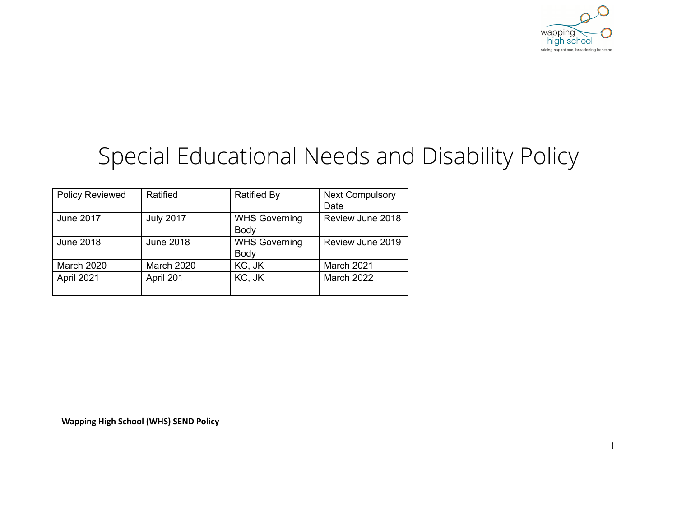

1

# Special Educational Needs and Disability Policy

| <b>Policy Reviewed</b> | Ratified         | <b>Ratified By</b>   | <b>Next Compulsory</b> |
|------------------------|------------------|----------------------|------------------------|
|                        |                  |                      | Date                   |
| <b>June 2017</b>       | <b>July 2017</b> | <b>WHS Governing</b> | Review June 2018       |
|                        |                  | Body                 |                        |
| <b>June 2018</b>       | <b>June 2018</b> | <b>WHS Governing</b> | Review June 2019       |
|                        |                  | Body                 |                        |
| March 2020             | March 2020       | KC, JK               | March 2021             |
| April 2021             | April 201        | KC, JK               | March 2022             |
|                        |                  |                      |                        |

**Wapping High School (WHS) SEND Policy**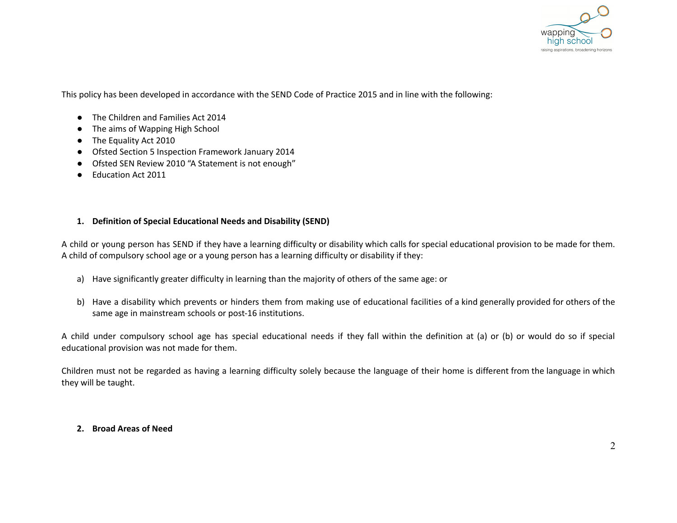

This policy has been developed in accordance with the SEND Code of Practice 2015 and in line with the following:

- The Children and Families Act 2014
- The aims of Wapping High School
- The Equality Act 2010
- Ofsted Section 5 Inspection Framework January 2014
- Ofsted SEN Review 2010 "A Statement is not enough"
- Education Act 2011

## **1. Definition of Special Educational Needs and Disability (SEND)**

A child or young person has SEND if they have a learning difficulty or disability which calls for special educational provision to be made for them. A child of compulsory school age or a young person has a learning difficulty or disability if they:

- a) Have significantly greater difficulty in learning than the majority of others of the same age: or
- b) Have a disability which prevents or hinders them from making use of educational facilities of a kind generally provided for others of the same age in mainstream schools or post-16 institutions.

A child under compulsory school age has special educational needs if they fall within the definition at (a) or (b) or would do so if special educational provision was not made for them.

Children must not be regarded as having a learning difficulty solely because the language of their home is different from the language in which they will be taught.

#### **2. Broad Areas of Need**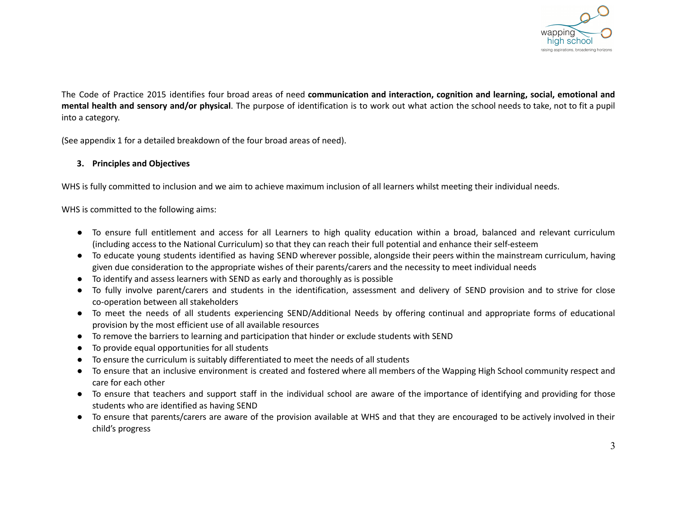

The Code of Practice 2015 identifies four broad areas of need **communication and interaction, cognition and learning, social, emotional and mental health and sensory and/or physical**. The purpose of identification is to work out what action the school needs to take, not to fit a pupil into a category.

(See appendix 1 for a detailed breakdown of the four broad areas of need).

## **3. Principles and Objectives**

WHS is fully committed to inclusion and we aim to achieve maximum inclusion of all learners whilst meeting their individual needs.

WHS is committed to the following aims:

- To ensure full entitlement and access for all Learners to high quality education within a broad, balanced and relevant curriculum (including access to the National Curriculum) so that they can reach their full potential and enhance their self-esteem
- To educate young students identified as having SEND wherever possible, alongside their peers within the mainstream curriculum, having given due consideration to the appropriate wishes of their parents/carers and the necessity to meet individual needs
- To identify and assess learners with SEND as early and thoroughly as is possible
- To fully involve parent/carers and students in the identification, assessment and delivery of SEND provision and to strive for close co-operation between all stakeholders
- **●** To meet the needs of all students experiencing SEND/Additional Needs by offering continual and appropriate forms of educational provision by the most efficient use of all available resources
- To remove the barriers to learning and participation that hinder or exclude students with SEND
- To provide equal opportunities for all students
- To ensure the curriculum is suitably differentiated to meet the needs of all students
- To ensure that an inclusive environment is created and fostered where all members of the Wapping High School community respect and care for each other
- To ensure that teachers and support staff in the individual school are aware of the importance of identifying and providing for those students who are identified as having SEND
- To ensure that parents/carers are aware of the provision available at WHS and that they are encouraged to be actively involved in their child's progress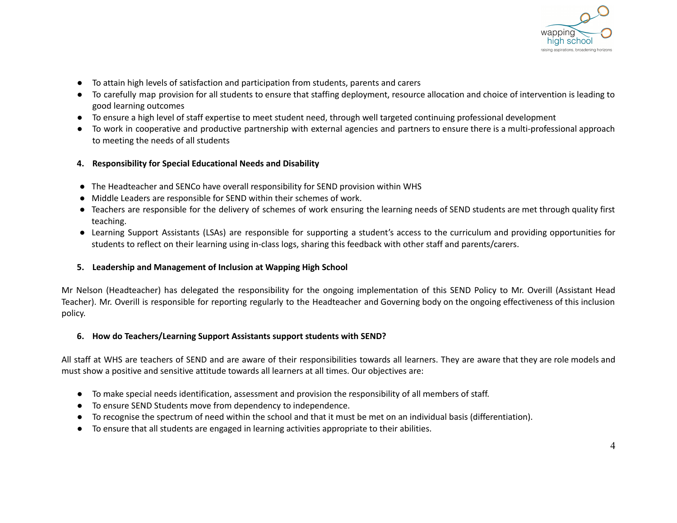

- To attain high levels of satisfaction and participation from students, parents and carers
- To carefully map provision for all students to ensure that staffing deployment, resource allocation and choice of intervention is leading to good learning outcomes
- To ensure a high level of staff expertise to meet student need, through well targeted continuing professional development
- To work in cooperative and productive partnership with external agencies and partners to ensure there is a multi-professional approach to meeting the needs of all students
- **4. Responsibility for Special Educational Needs and Disability**
- The Headteacher and SENCo have overall responsibility for SEND provision within WHS
- Middle Leaders are responsible for SEND within their schemes of work.
- Teachers are responsible for the delivery of schemes of work ensuring the learning needs of SEND students are met through quality first teaching.
- Learning Support Assistants (LSAs) are responsible for supporting a student's access to the curriculum and providing opportunities for students to reflect on their learning using in-class logs, sharing this feedback with other staff and parents/carers.

#### **5. Leadership and Management of Inclusion at Wapping High School**

Mr Nelson (Headteacher) has delegated the responsibility for the ongoing implementation of this SEND Policy to Mr. Overill (Assistant Head Teacher). Mr. Overill is responsible for reporting regularly to the Headteacher and Governing body on the ongoing effectiveness of this inclusion policy.

#### **6. How do Teachers/Learning Support Assistants support students with SEND?**

All staff at WHS are teachers of SEND and are aware of their responsibilities towards all learners. They are aware that they are role models and must show a positive and sensitive attitude towards all learners at all times. Our objectives are:

- To make special needs identification, assessment and provision the responsibility of all members of staff.
- To ensure SEND Students move from dependency to independence.
- To recognise the spectrum of need within the school and that it must be met on an individual basis (differentiation).
- To ensure that all students are engaged in learning activities appropriate to their abilities.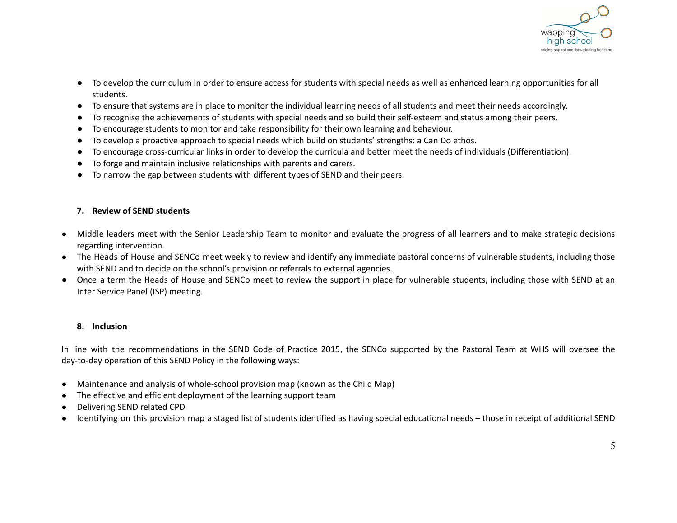

- To develop the curriculum in order to ensure access for students with special needs as well as enhanced learning opportunities for all students.
- To ensure that systems are in place to monitor the individual learning needs of all students and meet their needs accordingly.
- To recognise the achievements of students with special needs and so build their self-esteem and status among their peers.
- To encourage students to monitor and take responsibility for their own learning and behaviour.
- To develop a proactive approach to special needs which build on students' strengths: a Can Do ethos.
- To encourage cross-curricular links in order to develop the curricula and better meet the needs of individuals (Differentiation).
- To forge and maintain inclusive relationships with parents and carers.
- To narrow the gap between students with different types of SEND and their peers.

## **7. Review of SEND students**

- Middle leaders meet with the Senior Leadership Team to monitor and evaluate the progress of all learners and to make strategic decisions regarding intervention.
- The Heads of House and SENCo meet weekly to review and identify any immediate pastoral concerns of vulnerable students, including those with SEND and to decide on the school's provision or referrals to external agencies.
- Once a term the Heads of House and SENCo meet to review the support in place for vulnerable students, including those with SEND at an Inter Service Panel (ISP) meeting.

## **8. Inclusion**

In line with the recommendations in the SEND Code of Practice 2015, the SENCo supported by the Pastoral Team at WHS will oversee the day-to-day operation of this SEND Policy in the following ways:

- Maintenance and analysis of whole-school provision map (known as the Child Map)
- The effective and efficient deployment of the learning support team
- Delivering SEND related CPD
- Identifying on this provision map a staged list of students identified as having special educational needs those in receipt of additional SEND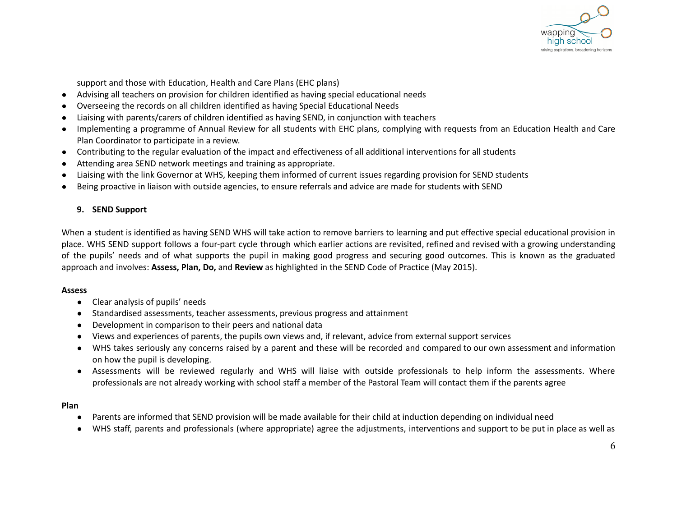

support and those with Education, Health and Care Plans (EHC plans)

- Advising all teachers on provision for children identified as having special educational needs
- Overseeing the records on all children identified as having Special Educational Needs
- Liaising with parents/carers of children identified as having SEND, in conjunction with teachers
- Implementing a programme of Annual Review for all students with EHC plans, complying with requests from an Education Health and Care Plan Coordinator to participate in a review.
- Contributing to the regular evaluation of the impact and effectiveness of all additional interventions for all students
- Attending area SEND network meetings and training as appropriate.
- Liaising with the link Governor at WHS, keeping them informed of current issues regarding provision for SEND students
- Being proactive in liaison with outside agencies, to ensure referrals and advice are made for students with SEND

## **9. SEND Support**

When a student is identified as having SEND WHS will take action to remove barriers to learning and put effective special educational provision in place. WHS SEND support follows a four-part cycle through which earlier actions are revisited, refined and revised with a growing understanding of the pupils' needs and of what supports the pupil in making good progress and securing good outcomes. This is known as the graduated approach and involves: **Assess, Plan, Do,** and **Review** as highlighted in the SEND Code of Practice (May 2015).

#### **Assess**

- **●** Clear analysis of pupils' needs
- **●** Standardised assessments, teacher assessments, previous progress and attainment
- **●** Development in comparison to their peers and national data
- **●** Views and experiences of parents, the pupils own views and, if relevant, advice from external support services
- **●** WHS takes seriously any concerns raised by a parent and these will be recorded and compared to our own assessment and information on how the pupil is developing.
- **●** Assessments will be reviewed regularly and WHS will liaise with outside professionals to help inform the assessments. Where professionals are not already working with school staff a member of the Pastoral Team will contact them if the parents agree

#### **Plan**

- Parents are informed that SEND provision will be made available for their child at induction depending on individual need
- WHS staff, parents and professionals (where appropriate) agree the adjustments, interventions and support to be put in place as well as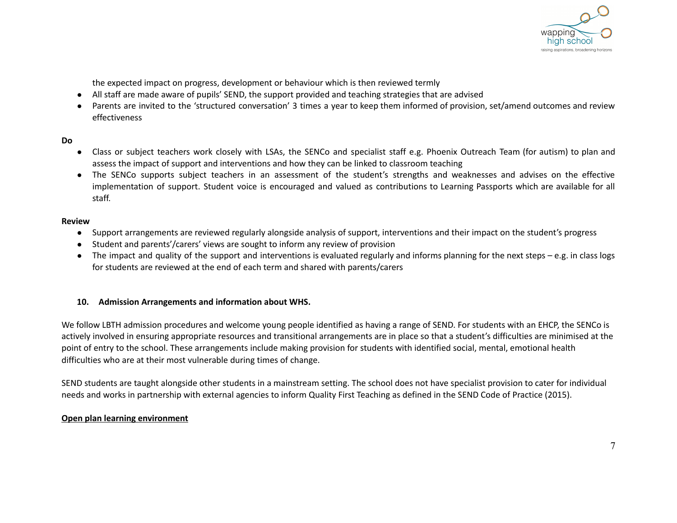

the expected impact on progress, development or behaviour which is then reviewed termly

- All staff are made aware of pupils' SEND, the support provided and teaching strategies that are advised
- Parents are invited to the 'structured conversation' 3 times a year to keep them informed of provision, set/amend outcomes and review effectiveness

## **Do**

- Class or subject teachers work closely with LSAs, the SENCo and specialist staff e.g. Phoenix Outreach Team (for autism) to plan and assess the impact of support and interventions and how they can be linked to classroom teaching
- The SENCo supports subject teachers in an assessment of the student's strengths and weaknesses and advises on the effective implementation of support. Student voice is encouraged and valued as contributions to Learning Passports which are available for all staff.

#### **Review**

- Support arrangements are reviewed regularly alongside analysis of support, interventions and their impact on the student's progress
- Student and parents'/carers' views are sought to inform any review of provision
- The impact and quality of the support and interventions is evaluated regularly and informs planning for the next steps e.g. in class logs for students are reviewed at the end of each term and shared with parents/carers

## **10. Admission Arrangements and information about WHS.**

We follow LBTH admission procedures and welcome young people identified as having a range of SEND. For students with an EHCP, the SENCo is actively involved in ensuring appropriate resources and transitional arrangements are in place so that a student's difficulties are minimised at the point of entry to the school. These arrangements include making provision for students with identified social, mental, emotional health difficulties who are at their most vulnerable during times of change.

SEND students are taught alongside other students in a mainstream setting. The school does not have specialist provision to cater for individual needs and works in partnership with external agencies to inform Quality First Teaching as defined in the SEND Code of Practice (2015).

#### **Open plan learning environment**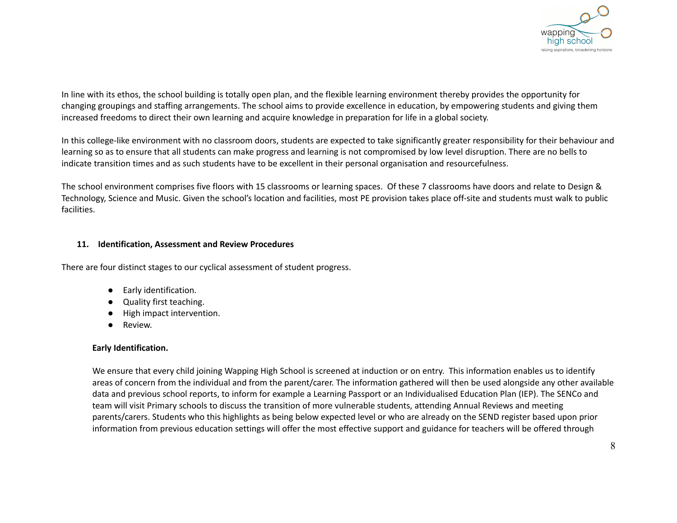

In line with its ethos, the school building is totally open plan, and the flexible learning environment thereby provides the opportunity for changing groupings and staffing arrangements. The school aims to provide excellence in education, by empowering students and giving them increased freedoms to direct their own learning and acquire knowledge in preparation for life in a global society.

In this college-like environment with no classroom doors, students are expected to take significantly greater responsibility for their behaviour and learning so as to ensure that all students can make progress and learning is not compromised by low level disruption. There are no bells to indicate transition times and as such students have to be excellent in their personal organisation and resourcefulness.

The school environment comprises five floors with 15 classrooms or learning spaces. Of these 7 classrooms have doors and relate to Design & Technology, Science and Music. Given the school's location and facilities, most PE provision takes place off-site and students must walk to public facilities.

#### **11. Identification, Assessment and Review Procedures**

There are four distinct stages to our cyclical assessment of student progress.

- Early identification.
- Quality first teaching.
- High impact intervention.
- Review.

#### **Early Identification.**

We ensure that every child joining Wapping High School is screened at induction or on entry. This information enables us to identify areas of concern from the individual and from the parent/carer. The information gathered will then be used alongside any other available data and previous school reports, to inform for example a Learning Passport or an Individualised Education Plan (IEP). The SENCo and team will visit Primary schools to discuss the transition of more vulnerable students, attending Annual Reviews and meeting parents/carers. Students who this highlights as being below expected level or who are already on the SEND register based upon prior information from previous education settings will offer the most effective support and guidance for teachers will be offered through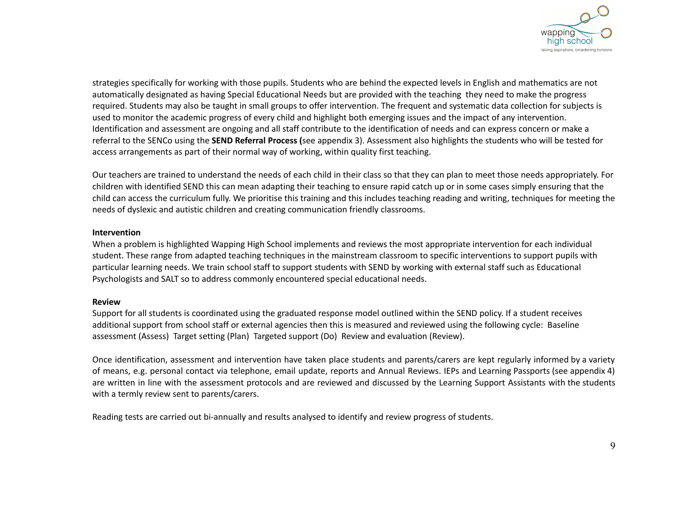

strategies specifically for working with those pupils. Students who are behind the expected levels in English and mathematics are not automatically designated as having Special Educational Needs but are provided with the teaching they need to make the progress required. Students may also be taught in small groups to offer intervention. The frequent and systematic data collection for subjects is used to monitor the academic progress of every child and highlight both emerging issues and the impact of any intervention. Identification and assessment are ongoing and all staff contribute to the identification of needs and can express concern or make a referral to the SENCo using the **SEND Referral Process (**see appendix 3). Assessment also highlights the students who will be tested for access arrangements as part of their normal way of working, within quality first teaching.

Our teachers are trained to understand the needs of each child in their class so that they can plan to meet those needs appropriately. For children with identified SEND this can mean adapting their teaching to ensure rapid catch up or in some cases simply ensuring that the child can access the curriculum fully. We prioritise this training and this includes teaching reading and writing, techniques for meeting the needs of dyslexic and autistic children and creating communication friendly classrooms.

#### **Intervention**

When a problem is highlighted Wapping High School implements and reviews the most appropriate intervention for each individual student. These range from adapted teaching techniques in the mainstream classroom to specific interventions to support pupils with particular learning needs. We train school staff to support students with SEND by working with external staff such as Educational Psychologists and SALT so to address commonly encountered special educational needs.

#### **Review**

Support for all students is coordinated using the graduated response model outlined within the SEND policy. If a student receives additional support from school staff or external agencies then this is measured and reviewed using the following cycle: Baseline assessment (Assess) Target setting (Plan) Targeted support (Do) Review and evaluation (Review).

Once identification, assessment and intervention have taken place students and parents/carers are kept regularly informed by a variety of means, e.g. personal contact via telephone, email update, reports and Annual Reviews. IEPs and Learning Passports (see appendix 4) are written in line with the assessment protocols and are reviewed and discussed by the Learning Support Assistants with the students with a termly review sent to parents/carers.

Reading tests are carried out bi-annually and results analysed to identify and review progress of students.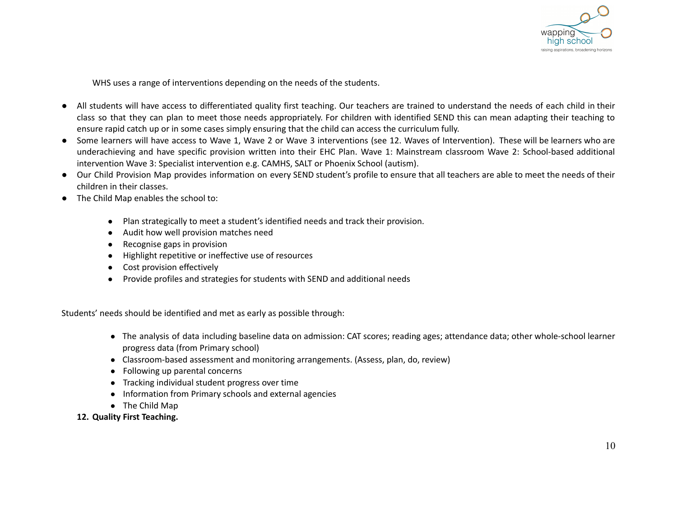

WHS uses a range of interventions depending on the needs of the students.

- All students will have access to differentiated quality first teaching. Our teachers are trained to understand the needs of each child in their class so that they can plan to meet those needs appropriately. For children with identified SEND this can mean adapting their teaching to ensure rapid catch up or in some cases simply ensuring that the child can access the curriculum fully.
- Some learners will have access to Wave 1, Wave 2 or Wave 3 interventions (see 12. Waves of Intervention). These will be learners who are underachieving and have specific provision written into their EHC Plan. Wave 1: Mainstream classroom Wave 2: School-based additional intervention Wave 3: Specialist intervention e.g. CAMHS, SALT or Phoenix School (autism).
- Our Child Provision Map provides information on every SEND student's profile to ensure that all teachers are able to meet the needs of their children in their classes.
- The Child Map enables the school to:
	- Plan strategically to meet a student's identified needs and track their provision.
	- Audit how well provision matches need
	- Recognise gaps in provision
	- Highlight repetitive or ineffective use of resources
	- Cost provision effectively
	- Provide profiles and strategies for students with SEND and additional needs

Students' needs should be identified and met as early as possible through:

- The analysis of data including baseline data on admission: CAT scores; reading ages; attendance data; other whole-school learner progress data (from Primary school)
- Classroom-based assessment and monitoring arrangements. (Assess, plan, do, review)
- Following up parental concerns
- Tracking individual student progress over time
- Information from Primary schools and external agencies
- The Child Map
- **12. Quality First Teaching.**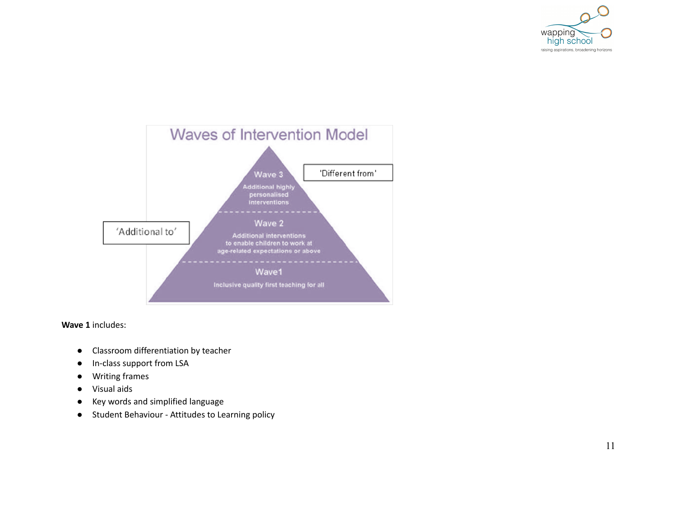



**W a v e 1** in clu d e s:

- Classroom differentiation by teacher
- In-class support from LSA
- $\bullet$ Writing frames
- $\bullet$ Vis u al aid s
- Key words and simplified language
- Student Behaviour - Attitudes to Learning policy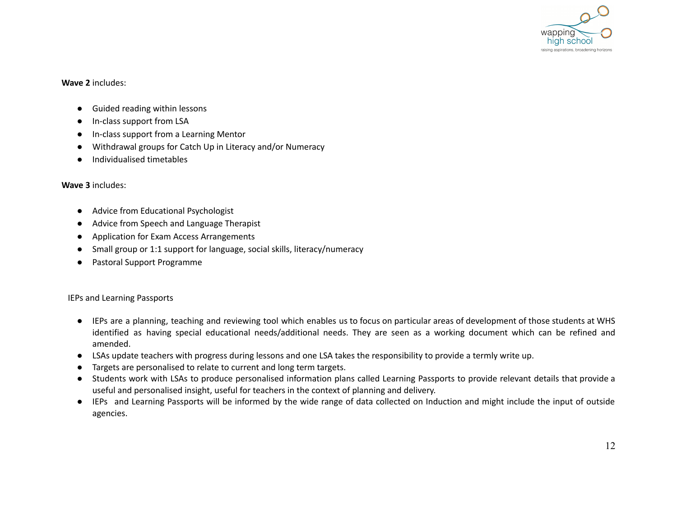

#### **Wave 2** includes:

- Guided reading within lessons
- In-class support from LSA
- In-class support from a Learning Mentor
- Withdrawal groups for Catch Up in Literacy and/or Numeracy
- Individualised timetables

#### **Wave 3** includes:

- Advice from Educational Psychologist
- Advice from Speech and Language Therapist
- Application for Exam Access Arrangements
- Small group or 1:1 support for language, social skills, literacy/numeracy
- Pastoral Support Programme

#### IEPs and Learning Passports

- IEPs are a planning, teaching and reviewing tool which enables us to focus on particular areas of development of those students at WHS identified as having special educational needs/additional needs. They are seen as a working document which can be refined and amended.
- LSAs update teachers with progress during lessons and one LSA takes the responsibility to provide a termly write up.
- Targets are personalised to relate to current and long term targets.
- Students work with LSAs to produce personalised information plans called Learning Passports to provide relevant details that provide a useful and personalised insight, useful for teachers in the context of planning and delivery.
- IEPs and Learning Passports will be informed by the wide range of data collected on Induction and might include the input of outside agencies.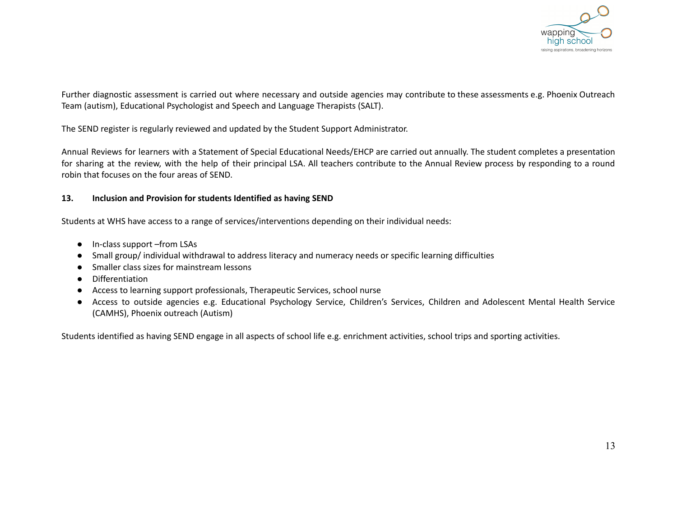

Further diagnostic assessment is carried out where necessary and outside agencies may contribute to these assessments e.g. Phoenix Outreach Team (autism), Educational Psychologist and Speech and Language Therapists (SALT).

The SEND register is regularly reviewed and updated by the Student Support Administrator.

Annual Reviews for learners with a Statement of Special Educational Needs/EHCP are carried out annually. The student completes a presentation for sharing at the review, with the help of their principal LSA. All teachers contribute to the Annual Review process by responding to a round robin that focuses on the four areas of SEND.

## **13. Inclusion and Provision for students Identified as having SEND**

Students at WHS have access to a range of services/interventions depending on their individual needs:

- In-class support –from LSAs
- Small group/ individual withdrawal to address literacy and numeracy needs or specific learning difficulties
- Smaller class sizes for mainstream lessons
- Differentiation
- Access to learning support professionals, Therapeutic Services, school nurse
- Access to outside agencies e.g. Educational Psychology Service, Children's Services, Children and Adolescent Mental Health Service (CAMHS), Phoenix outreach (Autism)

Students identified as having SEND engage in all aspects of school life e.g. enrichment activities, school trips and sporting activities.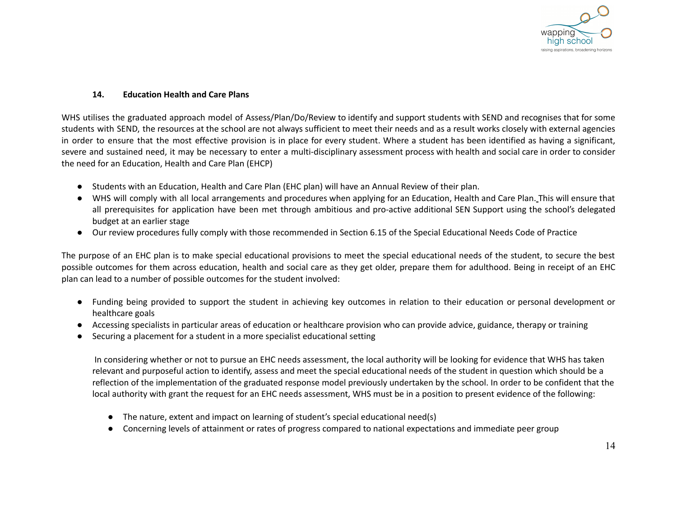

#### **14. Education Health and Care Plans**

WHS utilises the graduated approach model of Assess/Plan/Do/Review to identify and support students with SEND and recognises that for some students with SEND, the resources at the school are not always sufficient to meet their needs and as a result works closely with external agencies in order to ensure that the most effective provision is in place for every student. Where a student has been identified as having a significant, severe and sustained need, it may be necessary to enter a multi-disciplinary assessment process with health and social care in order to consider the need for an Education, Health and Care Plan (EHCP)

- Students with an Education, Health and Care Plan (EHC plan) will have an Annual Review of their plan.
- WHS will comply with all local arrangements and procedures when applying for an Education, Health and Care Plan. This will ensure that all prerequisites for application have been met through ambitious and pro-active additional SEN Support using the school's delegated budget at an earlier stage
- Our review procedures fully comply with those recommended in Section 6.15 of the Special Educational Needs Code of Practice

The purpose of an EHC plan is to make special educational provisions to meet the special educational needs of the student, to secure the best possible outcomes for them across education, health and social care as they get older, prepare them for adulthood. Being in receipt of an EHC plan can lead to a number of possible outcomes for the student involved:

- Funding being provided to support the student in achieving key outcomes in relation to their education or personal development or healthcare goals
- Accessing specialists in particular areas of education or healthcare provision who can provide advice, guidance, therapy or training
- Securing a placement for a student in a more specialist educational setting

In considering whether or not to pursue an EHC needs assessment, the local authority will be looking for evidence that WHS has taken relevant and purposeful action to identify, assess and meet the special educational needs of the student in question which should be a reflection of the implementation of the graduated response model previously undertaken by the school. In order to be confident that the local authority with grant the request for an EHC needs assessment, WHS must be in a position to present evidence of the following:

- The nature, extent and impact on learning of student's special educational need(s)
- Concerning levels of attainment or rates of progress compared to national expectations and immediate peer group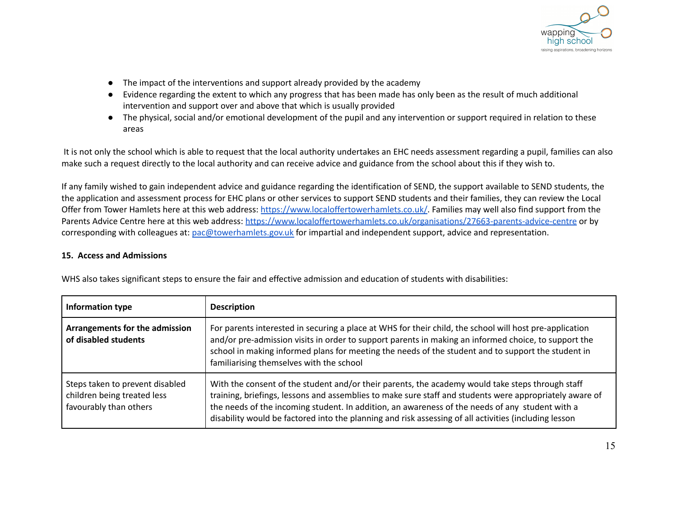

- The impact of the interventions and support already provided by the academy
- Evidence regarding the extent to which any progress that has been made has only been as the result of much additional intervention and support over and above that which is usually provided
- The physical, social and/or emotional development of the pupil and any intervention or support required in relation to these areas

It is not only the school which is able to request that the local authority undertakes an EHC needs assessment regarding a pupil, families can also make such a request directly to the local authority and can receive advice and guidance from the school about this if they wish to.

If any family wished to gain independent advice and guidance regarding the identification of SEND, the support available to SEND students, the the application and assessment process for EHC plans or other services to support SEND students and their families, they can review the Local Offer from Tower Hamlets here at this web address: <https://www.localoffertowerhamlets.co.uk/>. Families may well also find support from the Parents Advice Centre here at this web address: <https://www.localoffertowerhamlets.co.uk/organisations/27663-parents-advice-centre> or by corresponding with colleagues at: [pac@towerhamlets.gov.uk](mailto:pac@towerhamlets.gov.uk) for impartial and independent support, advice and representation.

#### **15. Access and Admissions**

| Information type                                                                         | <b>Description</b>                                                                                                                                                                                                                                                                                                                                                                                                      |
|------------------------------------------------------------------------------------------|-------------------------------------------------------------------------------------------------------------------------------------------------------------------------------------------------------------------------------------------------------------------------------------------------------------------------------------------------------------------------------------------------------------------------|
| Arrangements for the admission<br>of disabled students                                   | For parents interested in securing a place at WHS for their child, the school will host pre-application<br>and/or pre-admission visits in order to support parents in making an informed choice, to support the<br>school in making informed plans for meeting the needs of the student and to support the student in<br>familiarising themselves with the school                                                       |
| Steps taken to prevent disabled<br>children being treated less<br>favourably than others | With the consent of the student and/or their parents, the academy would take steps through staff<br>training, briefings, lessons and assemblies to make sure staff and students were appropriately aware of<br>the needs of the incoming student. In addition, an awareness of the needs of any student with a<br>disability would be factored into the planning and risk assessing of all activities (including lesson |

WHS also takes significant steps to ensure the fair and effective admission and education of students with disabilities: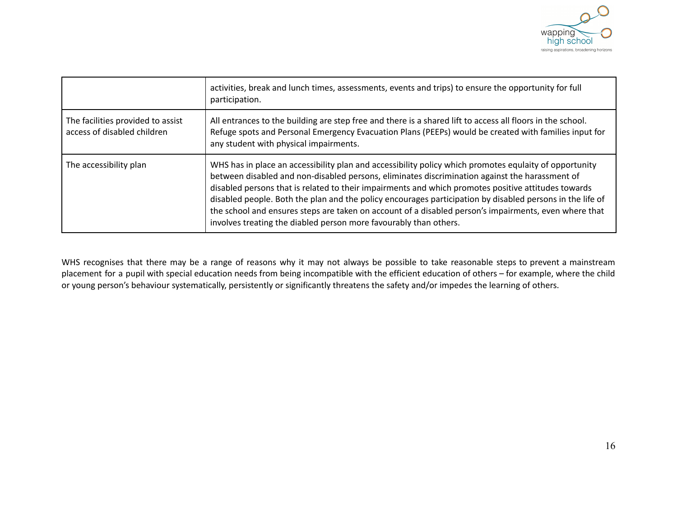

|                                                                  | activities, break and lunch times, assessments, events and trips) to ensure the opportunity for full<br>participation.                                                                                                                                                                                                                                                                                                                                                                                                                                                                                     |
|------------------------------------------------------------------|------------------------------------------------------------------------------------------------------------------------------------------------------------------------------------------------------------------------------------------------------------------------------------------------------------------------------------------------------------------------------------------------------------------------------------------------------------------------------------------------------------------------------------------------------------------------------------------------------------|
| The facilities provided to assist<br>access of disabled children | All entrances to the building are step free and there is a shared lift to access all floors in the school.<br>Refuge spots and Personal Emergency Evacuation Plans (PEEPs) would be created with families input for<br>any student with physical impairments.                                                                                                                                                                                                                                                                                                                                              |
| The accessibility plan                                           | WHS has in place an accessibility plan and accessibility policy which promotes equlaity of opportunity<br>between disabled and non-disabled persons, eliminates discrimination against the harassment of<br>disabled persons that is related to their impairments and which promotes positive attitudes towards<br>disabled people. Both the plan and the policy encourages participation by disabled persons in the life of<br>the school and ensures steps are taken on account of a disabled person's impairments, even where that<br>involves treating the diabled person more favourably than others. |

WHS recognises that there may be a range of reasons why it may not always be possible to take reasonable steps to prevent a mainstream placement for a pupil with special education needs from being incompatible with the efficient education of others – for example, where the child or young person's behaviour systematically, persistently or significantly threatens the safety and/or impedes the learning of others.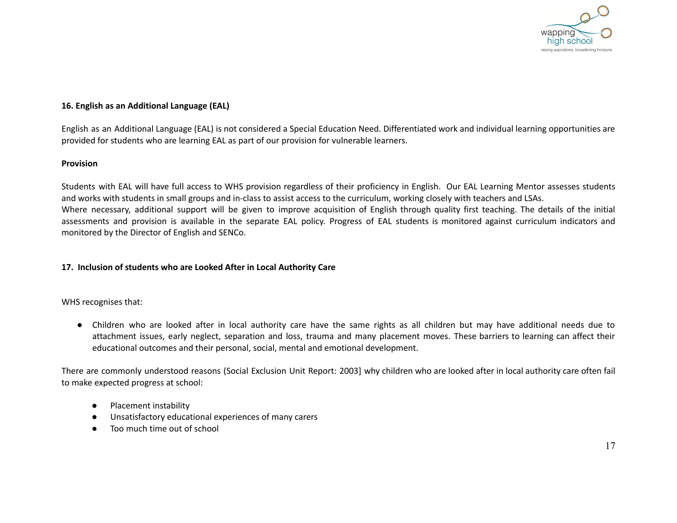

## **16. English as an Additional Language (EAL)**

English as an Additional Language (EAL) is not considered a Special Education Need. Differentiated work and individual learning opportunities are provided for students who are learning EAL as part of our provision for vulnerable learners.

#### **Provision**

Students with EAL will have full access to WHS provision regardless of their proficiency in English. Our EAL Learning Mentor assesses students and works with students in small groups and in-class to assist access to the curriculum, working closely with teachers and LSAs. Where necessary, additional support will be given to improve acquisition of English through quality first teaching. The details of the initial assessments and provision is available in the separate EAL policy. Progress of EAL students is monitored against curriculum indicators and monitored by the Director of English and SENCo.

#### **17. Inclusion of students who are Looked After in Local Authority Care**

WHS recognises that:

● Children who are looked after in local authority care have the same rights as all children but may have additional needs due to attachment issues, early neglect, separation and loss, trauma and many placement moves. These barriers to learning can affect their educational outcomes and their personal, social, mental and emotional development.

There are commonly understood reasons (Social Exclusion Unit Report: 2003] why children who are looked after in local authority care often fail to make expected progress at school:

- Placement instability
- Unsatisfactory educational experiences of many carers
- Too much time out of school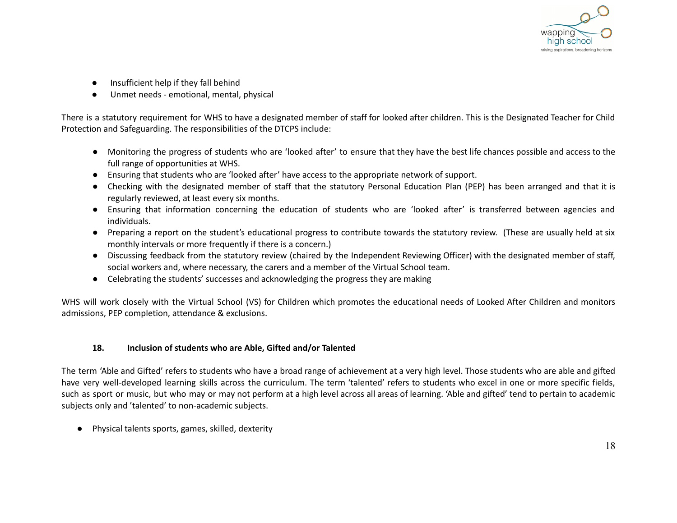

- Insufficient help if they fall behind
- Unmet needs emotional, mental, physical

There is a statutory requirement for WHS to have a designated member of staff for looked after children. This is the Designated Teacher for Child Protection and Safeguarding. The responsibilities of the DTCPS include:

- Monitoring the progress of students who are 'looked after' to ensure that they have the best life chances possible and access to the full range of opportunities at WHS.
- Ensuring that students who are 'looked after' have access to the appropriate network of support.
- Checking with the designated member of staff that the statutory Personal Education Plan (PEP) has been arranged and that it is regularly reviewed, at least every six months.
- Ensuring that information concerning the education of students who are 'looked after' is transferred between agencies and individuals.
- Preparing a report on the student's educational progress to contribute towards the statutory review. (These are usually held at six monthly intervals or more frequently if there is a concern.)
- Discussing feedback from the statutory review (chaired by the Independent Reviewing Officer) with the designated member of staff, social workers and, where necessary, the carers and a member of the Virtual School team.
- Celebrating the students' successes and acknowledging the progress they are making

WHS will work closely with the Virtual School (VS) for Children which promotes the educational needs of Looked After Children and monitors admissions, PEP completion, attendance & exclusions.

## **18. Inclusion of students who are Able, Gifted and/or Talented**

The term 'Able and Gifted' refers to students who have a broad range of achievement at a very high level. Those students who are able and gifted have very well-developed learning skills across the curriculum. The term 'talented' refers to students who excel in one or more specific fields, such as sport or music, but who may or may not perform at a high level across all areas of learning. 'Able and gifted' tend to pertain to academic subjects only and 'talented' to non-academic subjects.

● Physical talents sports, games, skilled, dexterity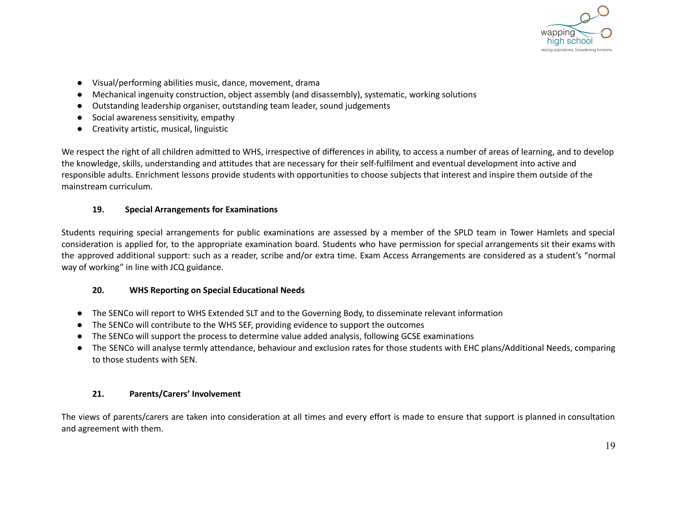

- Visual/performing abilities music, dance, movement, drama
- Mechanical ingenuity construction, object assembly (and disassembly), systematic, working solutions
- Outstanding leadership organiser, outstanding team leader, sound judgements
- Social awareness sensitivity, empathy
- Creativity artistic, musical, linguistic

We respect the right of all children admitted to WHS, irrespective of differences in ability, to access a number of areas of learning, and to develop the knowledge, skills, understanding and attitudes that are necessary for their self-fulfilment and eventual development into active and responsible adults. Enrichment lessons provide students with opportunities to choose subjects that interest and inspire them outside of the mainstream curriculum.

## **19. Special Arrangements for Examinations**

Students requiring special arrangements for public examinations are assessed by a member of the SPLD team in Tower Hamlets and special consideration is applied for, to the appropriate examination board. Students who have permission for special arrangements sit their exams with the approved additional support: such as a reader, scribe and/or extra time. Exam Access Arrangements are considered as a student's "normal way of working" in line with JCQ guidance.

## **20. WHS Reporting on Special Educational Needs**

- The SENCo will report to WHS Extended SLT and to the Governing Body, to disseminate relevant information
- The SENCo will contribute to the WHS SEF, providing evidence to support the outcomes
- The SENCo will support the process to determine value added analysis, following GCSE examinations
- The SENCo will analyse termly attendance, behaviour and exclusion rates for those students with EHC plans/Additional Needs, comparing to those students with SEN.

## **21. Parents/Carers' Involvement**

The views of parents/carers are taken into consideration at all times and every effort is made to ensure that support is planned in consultation and agreement with them.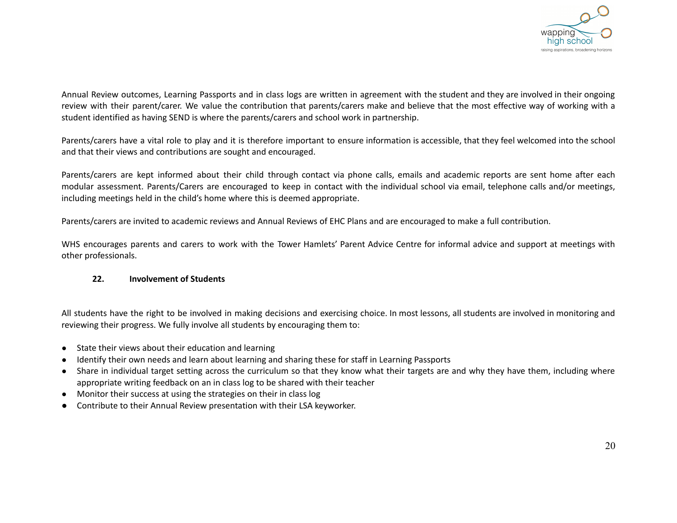

Annual Review outcomes, Learning Passports and in class logs are written in agreement with the student and they are involved in their ongoing review with their parent/carer. We value the contribution that parents/carers make and believe that the most effective way of working with a student identified as having SEND is where the parents/carers and school work in partnership.

Parents/carers have a vital role to play and it is therefore important to ensure information is accessible, that they feel welcomed into the school and that their views and contributions are sought and encouraged.

Parents/carers are kept informed about their child through contact via phone calls, emails and academic reports are sent home after each modular assessment. Parents/Carers are encouraged to keep in contact with the individual school via email, telephone calls and/or meetings, including meetings held in the child's home where this is deemed appropriate.

Parents/carers are invited to academic reviews and Annual Reviews of EHC Plans and are encouraged to make a full contribution.

WHS encourages parents and carers to work with the Tower Hamlets' Parent Advice Centre for informal advice and support at meetings with other professionals.

#### **22. Involvement of Students**

All students have the right to be involved in making decisions and exercising choice. In most lessons, all students are involved in monitoring and reviewing their progress. We fully involve all students by encouraging them to:

- *●* State their views about their education and learning
- Identify their own needs and learn about learning and sharing these for staff in Learning Passports
- Share in individual target setting across the curriculum so that they know what their targets are and why they have them, including where appropriate writing feedback on an in class log to be shared with their teacher
- Monitor their success at using the strategies on their in class log
- Contribute to their Annual Review presentation with their LSA keyworker.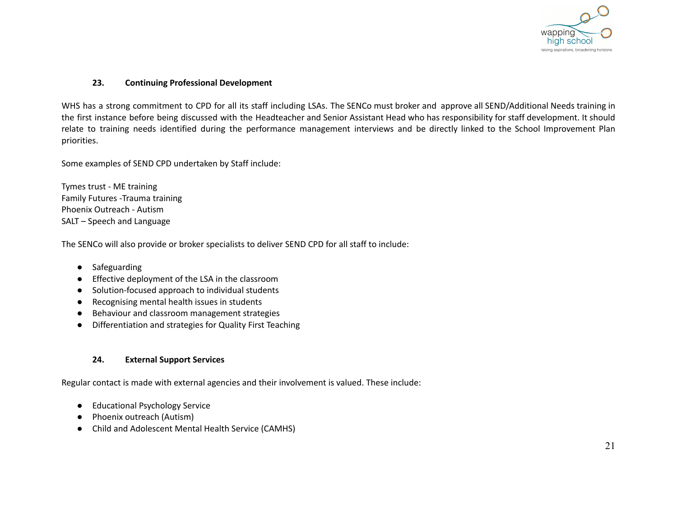

#### **23. Continuing Professional Development**

WHS has a strong commitment to CPD for all its staff including LSAs. The SENCo must broker and approve all SEND/Additional Needs training in the first instance before being discussed with the Headteacher and Senior Assistant Head who has responsibility for staff development. It should relate to training needs identified during the performance management interviews and be directly linked to the School Improvement Plan priorities.

Some examples of SEND CPD undertaken by Staff include:

Tymes trust - ME training Family Futures -Trauma training Phoenix Outreach - Autism SALT – Speech and Language

The SENCo will also provide or broker specialists to deliver SEND CPD for all staff to include:

- Safeguarding
- Effective deployment of the LSA in the classroom
- Solution-focused approach to individual students
- Recognising mental health issues in students
- Behaviour and classroom management strategies
- Differentiation and strategies for Quality First Teaching

## **24. External Support Services**

Regular contact is made with external agencies and their involvement is valued. These include:

- Educational Psychology Service
- Phoenix outreach (Autism)
- Child and Adolescent Mental Health Service (CAMHS)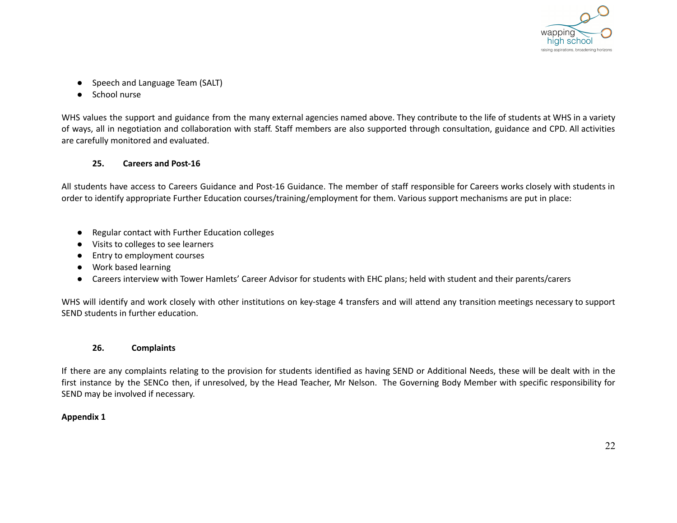

- Speech and Language Team (SALT)
- School nurse

WHS values the support and guidance from the many external agencies named above. They contribute to the life of students at WHS in a variety of ways, all in negotiation and collaboration with staff. Staff members are also supported through consultation, guidance and CPD. All activities are carefully monitored and evaluated.

## **25. Careers and Post-16**

All students have access to Careers Guidance and Post-16 Guidance. The member of staff responsible for Careers works closely with students in order to identify appropriate Further Education courses/training/employment for them. Various support mechanisms are put in place:

- Regular contact with Further Education colleges
- Visits to colleges to see learners
- Entry to employment courses
- Work based learning
- Careers interview with Tower Hamlets' Career Advisor for students with EHC plans; held with student and their parents/carers

WHS will identify and work closely with other institutions on key-stage 4 transfers and will attend any transition meetings necessary to support SEND students in further education.

## **26. Complaints**

If there are any complaints relating to the provision for students identified as having SEND or Additional Needs, these will be dealt with in the first instance by the SENCo then, if unresolved, by the Head Teacher, Mr Nelson. The Governing Body Member with specific responsibility for SEND may be involved if necessary.

## **Appendix 1**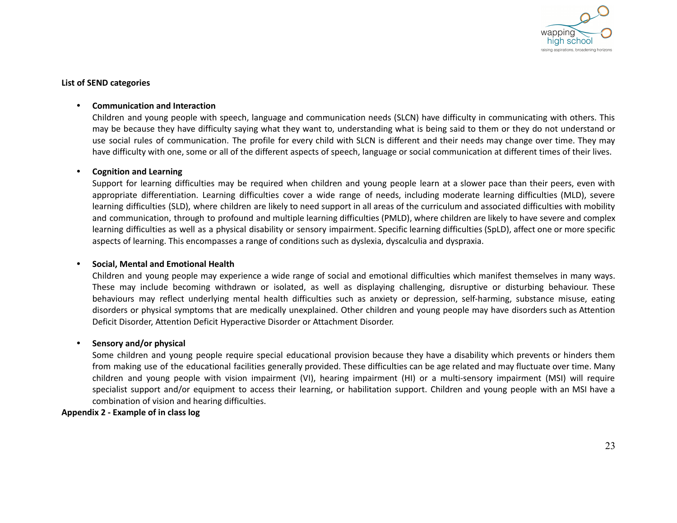

#### **List of SEND categories**

#### **• Communication and Interaction**

Children and young people with speech, language and communication needs (SLCN) have difficulty in communicating with others. This may be because they have difficulty saying what they want to, understanding what is being said to them or they do not understand or use social rules of communication. The profile for every child with SLCN is different and their needs may change over time. They may have difficulty with one, some or all of the different aspects of speech, language or social communication at different times of their lives.

#### **• Cognition and Learning**

Support for learning difficulties may be required when children and young people learn at a slower pace than their peers, even with appropriate differentiation. Learning difficulties cover a wide range of needs, including moderate learning difficulties (MLD), severe learning difficulties (SLD), where children are likely to need support in all areas of the curriculum and associated difficulties with mobility and communication, through to profound and multiple learning difficulties (PMLD), where children are likely to have severe and complex learning difficulties as well as a physical disability or sensory impairment. Specific learning difficulties (SpLD), affect one or more specific aspects of learning. This encompasses a range of conditions such as dyslexia, dyscalculia and dyspraxia.

#### **• Social, Mental and Emotional Health**

Children and young people may experience a wide range of social and emotional difficulties which manifest themselves in many ways. These may include becoming withdrawn or isolated, as well as displaying challenging, disruptive or disturbing behaviour. These behaviours may reflect underlying mental health difficulties such as anxiety or depression, self-harming, substance misuse, eating disorders or physical symptoms that are medically unexplained. Other children and young people may have disorders such as Attention Deficit Disorder, Attention Deficit Hyperactive Disorder or Attachment Disorder.

#### **• Sensory and/or physical**

Some children and young people require special educational provision because they have a disability which prevents or hinders them from making use of the educational facilities generally provided. These difficulties can be age related and may fluctuate over time. Many children and young people with vision impairment (VI), hearing impairment (HI) or a multi-sensory impairment (MSI) will require specialist support and/or equipment to access their learning, or habilitation support. Children and young people with an MSI have a combination of vision and hearing difficulties.

#### **Appendix 2 - Example of in class log**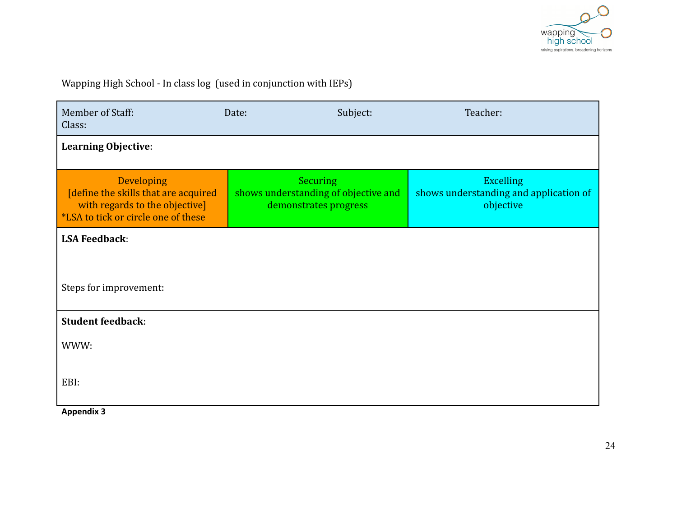

Wapping High School - In class log (used in conjunction with IEPs)

| Member of Staff:<br>Class:                                                                                                         | Date:                                                                            | Subject: | Teacher:                                                                |
|------------------------------------------------------------------------------------------------------------------------------------|----------------------------------------------------------------------------------|----------|-------------------------------------------------------------------------|
| <b>Learning Objective:</b>                                                                                                         |                                                                                  |          |                                                                         |
| Developing<br>[define the skills that are acquired<br>with regards to the objective]<br><b>*LSA</b> to tick or circle one of these | <b>Securing</b><br>shows understanding of objective and<br>demonstrates progress |          | <b>Excelling</b><br>shows understanding and application of<br>objective |
| <b>LSA Feedback:</b>                                                                                                               |                                                                                  |          |                                                                         |
| Steps for improvement:                                                                                                             |                                                                                  |          |                                                                         |
| <b>Student feedback:</b>                                                                                                           |                                                                                  |          |                                                                         |
| WWW:                                                                                                                               |                                                                                  |          |                                                                         |
| EBI:                                                                                                                               |                                                                                  |          |                                                                         |

**Appendix 3**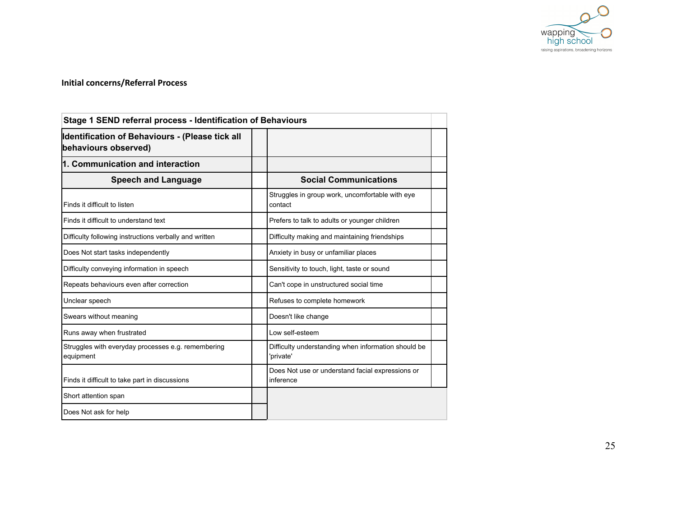

## **Initial concerns/Referral Process**

| Stage 1 SEND referral process - Identification of Behaviours            |                                                                  |  |
|-------------------------------------------------------------------------|------------------------------------------------------------------|--|
| Identification of Behaviours - (Please tick all<br>behaviours observed) |                                                                  |  |
| 1. Communication and interaction                                        |                                                                  |  |
| <b>Speech and Language</b>                                              | <b>Social Communications</b>                                     |  |
| Finds it difficult to listen                                            | Struggles in group work, uncomfortable with eye<br>contact       |  |
| Finds it difficult to understand text                                   | Prefers to talk to adults or younger children                    |  |
| Difficulty following instructions verbally and written                  | Difficulty making and maintaining friendships                    |  |
| Does Not start tasks independently                                      | Anxiety in busy or unfamiliar places                             |  |
| Difficulty conveying information in speech                              | Sensitivity to touch, light, taste or sound                      |  |
| Repeats behaviours even after correction                                | Can't cope in unstructured social time                           |  |
| Unclear speech                                                          | Refuses to complete homework                                     |  |
| Swears without meaning                                                  | Doesn't like change                                              |  |
| Runs away when frustrated                                               | Low self-esteem                                                  |  |
| Struggles with everyday processes e.g. remembering<br>equipment         | Difficulty understanding when information should be<br>'private' |  |
| Finds it difficult to take part in discussions                          | Does Not use or understand facial expressions or<br>inference    |  |
| Short attention span                                                    |                                                                  |  |
| Does Not ask for help                                                   |                                                                  |  |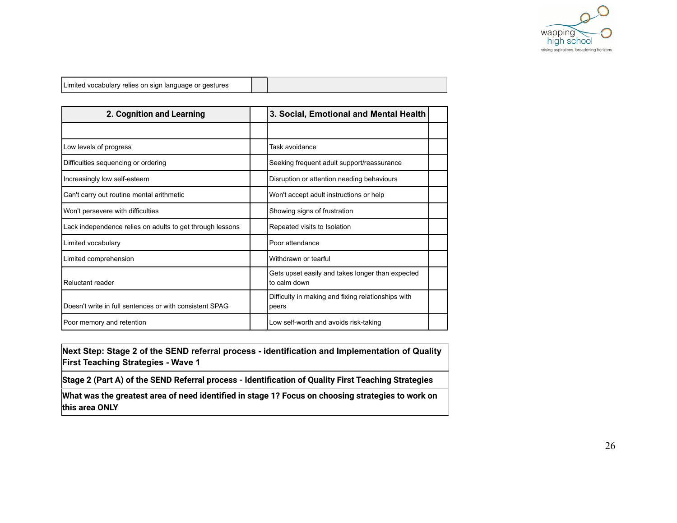

| l vocabulary relies on sign language or<br>aestures<br>l imited<br>$\cdot$ |  |  |
|----------------------------------------------------------------------------|--|--|
|----------------------------------------------------------------------------|--|--|

| 2. Cognition and Learning                                 |  | 3. Social, Emotional and Mental Health                           |  |
|-----------------------------------------------------------|--|------------------------------------------------------------------|--|
|                                                           |  |                                                                  |  |
| Low levels of progress                                    |  | Task avoidance                                                   |  |
| Difficulties sequencing or ordering                       |  | Seeking frequent adult support/reassurance                       |  |
| Increasingly low self-esteem                              |  | Disruption or attention needing behaviours                       |  |
| Can't carry out routine mental arithmetic                 |  | Won't accept adult instructions or help                          |  |
| Won't persevere with difficulties                         |  | Showing signs of frustration                                     |  |
| Lack independence relies on adults to get through lessons |  | Repeated visits to Isolation                                     |  |
| Limited vocabulary                                        |  | Poor attendance                                                  |  |
| Limited comprehension                                     |  | Withdrawn or tearful                                             |  |
| Reluctant reader                                          |  | Gets upset easily and takes longer than expected<br>to calm down |  |
| Doesn't write in full sentences or with consistent SPAG   |  | Difficulty in making and fixing relationships with<br>peers      |  |
| Poor memory and retention                                 |  | Low self-worth and avoids risk-taking                            |  |

**Next Step: Stage 2 of the SEND referral process - identification and Implementation of Quality First Teaching Strategies - Wave 1**

**Stage 2 (Part A) of the SEND Referral process - Identification of Quality First Teaching Strategies**

**What was the greatest area of need identified in stage 1? Focus on choosing strategies to work on this area ONLY**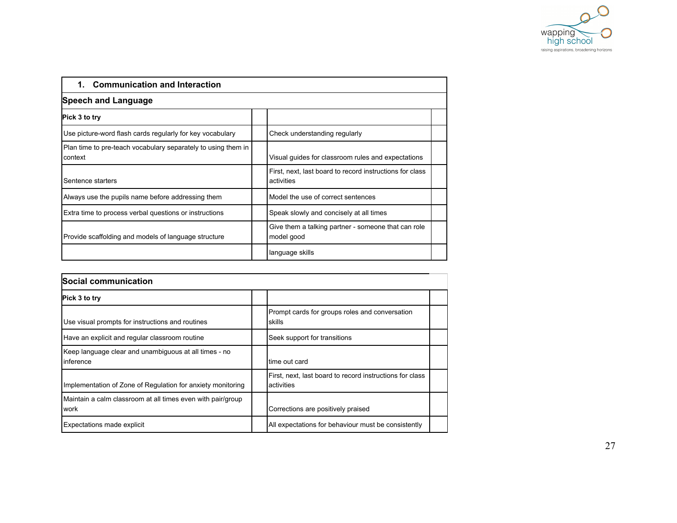

| <b>Communication and Interaction</b><br>1.                               |                                                                        |  |
|--------------------------------------------------------------------------|------------------------------------------------------------------------|--|
| <b>Speech and Language</b>                                               |                                                                        |  |
| Pick 3 to try                                                            |                                                                        |  |
| Use picture-word flash cards regularly for key vocabulary                | Check understanding regularly                                          |  |
| Plan time to pre-teach vocabulary separately to using them in<br>context | Visual guides for classroom rules and expectations                     |  |
| Sentence starters                                                        | First, next, last board to record instructions for class<br>activities |  |
| Always use the pupils name before addressing them                        | Model the use of correct sentences                                     |  |
| Extra time to process verbal questions or instructions                   | Speak slowly and concisely at all times                                |  |
| Provide scaffolding and models of language structure                     | Give them a talking partner - someone that can role<br>model good      |  |
|                                                                          | language skills                                                        |  |

| Social communication                                                       |                                                                        |  |
|----------------------------------------------------------------------------|------------------------------------------------------------------------|--|
| Pick 3 to try                                                              |                                                                        |  |
| Use visual prompts for instructions and routines                           | Prompt cards for groups roles and conversation<br>skills               |  |
| Have an explicit and regular classroom routine                             | Seek support for transitions                                           |  |
| Keep language clear and unambiguous at all times - no<br>linference        | ltime out card                                                         |  |
| Implementation of Zone of Regulation for anxiety monitoring                | First, next, last board to record instructions for class<br>activities |  |
| Maintain a calm classroom at all times even with pair/group<br><b>work</b> | Corrections are positively praised                                     |  |
| Expectations made explicit                                                 | All expectations for behaviour must be consistently                    |  |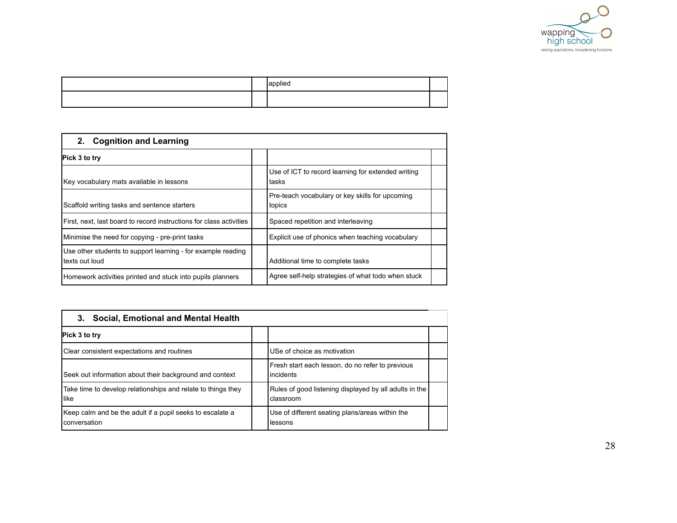

|  | יסplieטי |  |
|--|----------|--|
|  |          |  |

| <b>Cognition and Learning</b><br>2.                                             |                                                             |
|---------------------------------------------------------------------------------|-------------------------------------------------------------|
| Pick 3 to try                                                                   |                                                             |
| Key vocabulary mats available in lessons                                        | Use of ICT to record learning for extended writing<br>tasks |
| Scaffold writing tasks and sentence starters                                    | Pre-teach vocabulary or key skills for upcoming<br>topics   |
| First, next, last board to record instructions for class activities             | Spaced repetition and interleaving                          |
| Minimise the need for copying - pre-print tasks                                 | Explicit use of phonics when teaching vocabulary            |
| Use other students to support learning - for example reading<br>ltexts out loud | Additional time to complete tasks                           |
| Homework activities printed and stuck into pupils planners                      | Agree self-help strategies of what todo when stuck          |

| 3. Social, Emotional and Mental Health                                    |                                                                     |  |
|---------------------------------------------------------------------------|---------------------------------------------------------------------|--|
| Pick 3 to try                                                             |                                                                     |  |
| Clear consistent expectations and routines                                | USe of choice as motivation                                         |  |
| Seek out information about their background and context                   | Fresh start each lesson, do no refer to previous<br>l incidents     |  |
| Take time to develop relationships and relate to things they<br>llike     | Rules of good listening displayed by all adults in the<br>classroom |  |
| Keep calm and be the adult if a pupil seeks to escalate a<br>conversation | Use of different seating plans/areas within the<br>llessons         |  |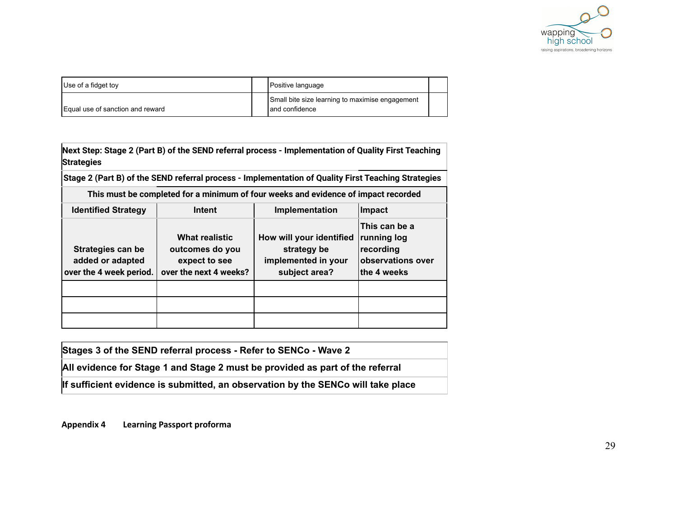

| Use of a fidget toy              | Positive language                                                   |  |
|----------------------------------|---------------------------------------------------------------------|--|
| Equal use of sanction and reward | Small bite size learning to maximise engagement<br>I and confidence |  |

**Next Step: Stage 2 (Part B) of the SEND referral process - Implementation of Quality First Teaching Strategies**

**Stage 2 (Part B) of the SEND referral process - Implementation of Quality First Teaching Strategies**

| This must be completed for a minimum of four weeks and evidence of impact recorded |                                                                                     |                                                                                 |                                                                               |  |  |  |  |
|------------------------------------------------------------------------------------|-------------------------------------------------------------------------------------|---------------------------------------------------------------------------------|-------------------------------------------------------------------------------|--|--|--|--|
| <b>Identified Strategy</b>                                                         | Intent                                                                              | Implementation                                                                  | Impact                                                                        |  |  |  |  |
| Strategies can be<br>added or adapted<br>over the 4 week period.                   | <b>What realistic</b><br>outcomes do you<br>expect to see<br>over the next 4 weeks? | How will your identified<br>strategy be<br>implemented in your<br>subject area? | This can be a<br>running log<br>recording<br>observations over<br>the 4 weeks |  |  |  |  |
|                                                                                    |                                                                                     |                                                                                 |                                                                               |  |  |  |  |
|                                                                                    |                                                                                     |                                                                                 |                                                                               |  |  |  |  |
|                                                                                    |                                                                                     |                                                                                 |                                                                               |  |  |  |  |

**Stages 3 of the SEND referral process - Refer to SENCo - Wave 2**

**All evidence for Stage 1 and Stage 2 must be provided as part of the referral**

**If sufficient evidence is submitted, an observation by the SENCo will take place**

**Appendix 4 Learning Passport proforma**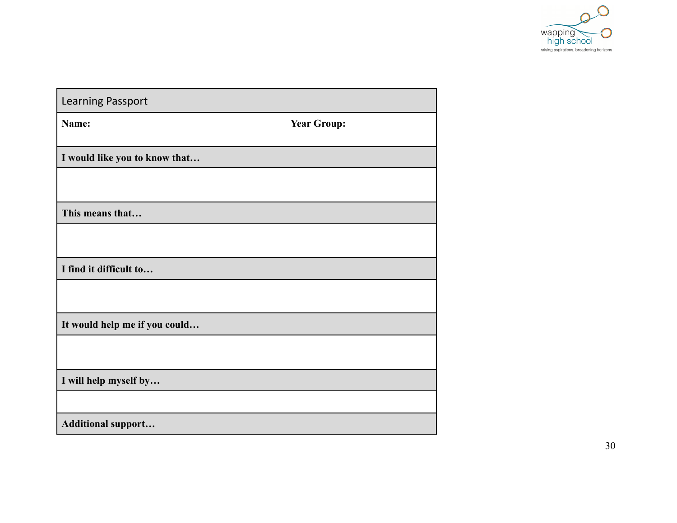

| <b>Learning Passport</b>      |                    |
|-------------------------------|--------------------|
| Name:                         | <b>Year Group:</b> |
|                               |                    |
| I would like you to know that |                    |
|                               |                    |
|                               |                    |
| This means that               |                    |
|                               |                    |
|                               |                    |
| I find it difficult to        |                    |
|                               |                    |
|                               |                    |
| It would help me if you could |                    |
|                               |                    |
|                               |                    |
| I will help myself by         |                    |
|                               |                    |
| <b>Additional support</b>     |                    |